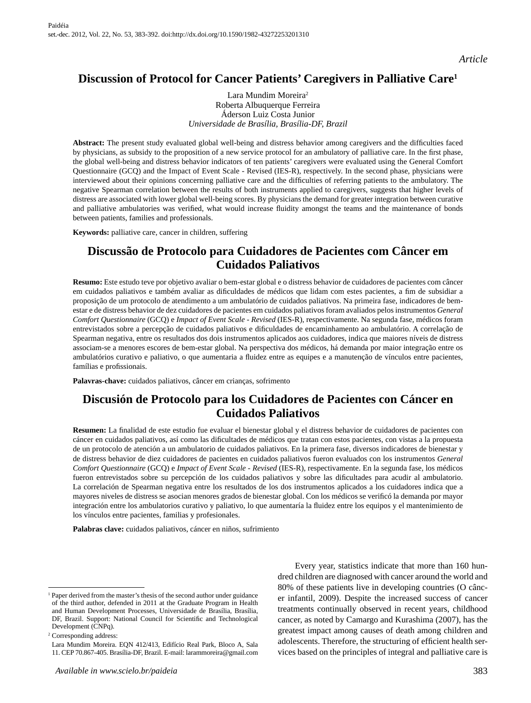*Article*

# **Discussion of Protocol for Cancer Patients' Caregivers in Palliative Care1**

Lara Mundim Moreira2 Roberta Albuquerque Ferreira Áderson Luiz Costa Junior *Universidade de Brasília, Brasília-DF, Brazil*

**Abstract:** The present study evaluated global well-being and distress behavior among caregivers and the difficulties faced by physicians, as subsidy to the proposition of a new service protocol for an ambulatory of palliative care. In the first phase, the global well-being and distress behavior indicators of ten patients' caregivers were evaluated using the General Comfort Questionnaire (GCQ) and the Impact of Event Scale - Revised (IES-R), respectively. In the second phase, physicians were interviewed about their opinions concerning palliative care and the difficulties of referring patients to the ambulatory. The negative Spearman correlation between the results of both instruments applied to caregivers, suggests that higher levels of distress are associated with lower global well-being scores. By physicians the demand for greater integration between curative and palliative ambulatories was verified, what would increase fluidity amongst the teams and the maintenance of bonds between patients, families and professionals.

**Keywords:** palliative care, cancer in children, suffering

# **Discussão de Protocolo para Cuidadores de Pacientes com Câncer em Cuidados Paliativos**

**Resumo:** Este estudo teve por objetivo avaliar o bem-estar global e o distress behavior de cuidadores de pacientes com câncer em cuidados paliativos e também avaliar as dificuldades de médicos que lidam com estes pacientes, a fim de subsidiar a proposição de um protocolo de atendimento a um ambulatório de cuidados paliativos. Na primeira fase, indicadores de bemestar e de distress behavior de dez cuidadores de pacientes em cuidados paliativos foram avaliados pelos instrumentos *General Comfort Questionnaire* (GCQ) e *Impact of Event Scale - Revised* (IES-R), respectivamente. Na segunda fase, médicos foram entrevistados sobre a percepção de cuidados paliativos e dificuldades de encaminhamento ao ambulatório. A correlação de Spearman negativa, entre os resultados dos dois instrumentos aplicados aos cuidadores, indica que maiores níveis de distress associam-se a menores escores de bem-estar global. Na perspectiva dos médicos, há demanda por maior integração entre os ambulatórios curativo e paliativo, o que aumentaria a fluidez entre as equipes e a manutenção de vínculos entre pacientes, famílias e profissionais.

**Palavras-chave:** cuidados paliativos, câncer em crianças, sofrimento

# **Discusión de Protocolo para los Cuidadores de Pacientes con Cáncer en Cuidados Paliativos**

Resumen: La finalidad de este estudio fue evaluar el bienestar global y el distress behavior de cuidadores de pacientes con cáncer en cuidados paliativos, así como las dificultades de médicos que tratan con estos pacientes, con vistas a la propuesta de un protocolo de atención a un ambulatorio de cuidados paliativos. En la primera fase, diversos indicadores de bienestar y de distress behavior de diez cuidadores de pacientes en cuidados paliativos fueron evaluados con los instrumentos *General Comfort Questionnaire* (GCQ) e *Impact of Event Scale - Revised* (IES-R), respectivamente. En la segunda fase, los médicos fueron entrevistados sobre su percepción de los cuidados paliativos y sobre las dificultades para acudir al ambulatorio. La correlación de Spearman negativa entre los resultados de los dos instrumentos aplicados a los cuidadores indica que a mayores niveles de distress se asocian menores grados de bienestar global. Con los médicos se verificó la demanda por mayor integración entre los ambulatorios curativo y paliativo, lo que aumentaría la fluidez entre los equipos y el mantenimiento de los vínculos entre pacientes, familias y profesionales.

**Palabras clave:** cuidados paliativos, cáncer en niños, sufrimiento

Every year, statistics indicate that more than 160 hundred children are diagnosed with cancer around the world and 80% of these patients live in developing countries (O câncer infantil, 2009). Despite the increased success of cancer treatments continually observed in recent years, childhood cancer, as noted by Camargo and Kurashima (2007), has the greatest impact among causes of death among children and adolescents. Therefore, the structuring of efficient health services based on the principles of integral and palliative care is

<sup>&</sup>lt;sup>1</sup> Paper derived from the master's thesis of the second author under guidance of the third author, defended in 2011 at the Graduate Program in Health and Human Development Processes, Universidade de Brasília, Brasília, DF, Brazil. Support: National Council for Scientific and Technological Development (CNPq).

<sup>2</sup> Corresponding address:

Lara Mundim Moreira. EQN 412/413, Edifício Real Park, Bloco A, Sala 11. CEP 70.867-405. Brasília-DF, Brazil. E-mail: larammoreira@gmail.com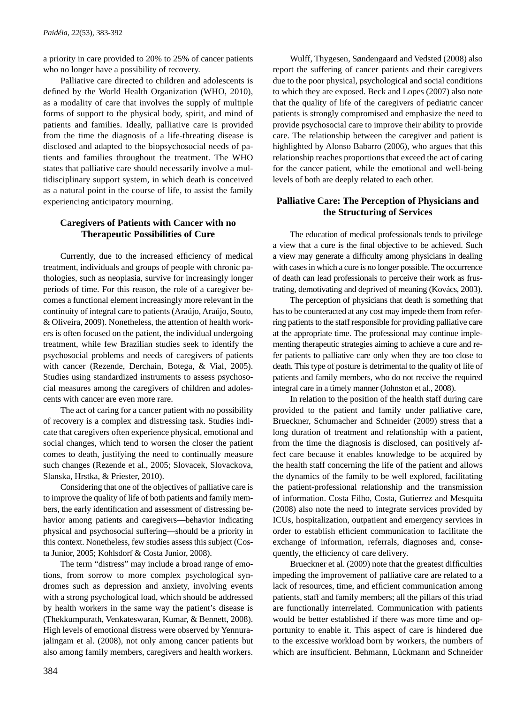a priority in care provided to 20% to 25% of cancer patients who no longer have a possibility of recovery.

Palliative care directed to children and adolescents is defined by the World Health Organization (WHO, 2010), as a modality of care that involves the supply of multiple forms of support to the physical body, spirit, and mind of patients and families. Ideally, palliative care is provided from the time the diagnosis of a life-threating disease is disclosed and adapted to the biopsychosocial needs of patients and families throughout the treatment. The WHO states that palliative care should necessarily involve a multidisciplinary support system, in which death is conceived as a natural point in the course of life, to assist the family experiencing anticipatory mourning.

# **Caregivers of Patients with Cancer with no Therapeutic Possibilities of Cure**

Currently, due to the increased efficiency of medical treatment, individuals and groups of people with chronic pathologies, such as neoplasia, survive for increasingly longer periods of time. For this reason, the role of a caregiver becomes a functional element increasingly more relevant in the continuity of integral care to patients (Araújo, Araújo, Souto, & Oliveira, 2009). Nonetheless, the attention of health workers is often focused on the patient, the individual undergoing treatment, while few Brazilian studies seek to identify the psychosocial problems and needs of caregivers of patients with cancer (Rezende, Derchain, Botega, & Vial, 2005). Studies using standardized instruments to assess psychosocial measures among the caregivers of children and adolescents with cancer are even more rare.

The act of caring for a cancer patient with no possibility of recovery is a complex and distressing task. Studies indicate that caregivers often experience physical, emotional and social changes, which tend to worsen the closer the patient comes to death, justifying the need to continually measure such changes (Rezende et al., 2005; Slovacek, Slovackova, Slanska, Hrstka, & Priester, 2010).

Considering that one of the objectives of palliative care is to improve the quality of life of both patients and family members, the early identification and assessment of distressing behavior among patients and caregivers—behavior indicating physical and psychosocial suffering—should be a priority in this context. Nonetheless, few studies assess this subject (Costa Junior, 2005; Kohlsdorf & Costa Junior, 2008).

The term "distress" may include a broad range of emotions, from sorrow to more complex psychological syndromes such as depression and anxiety, involving events with a strong psychological load, which should be addressed by health workers in the same way the patient's disease is (Thekkumpurath, Venkateswaran, Kumar, & Bennett, 2008). High levels of emotional distress were observed by Yennurajalingam et al. (2008), not only among cancer patients but also among family members, caregivers and health workers.

Wulff, Thygesen, Søndengaard and Vedsted (2008) also report the suffering of cancer patients and their caregivers due to the poor physical, psychological and social conditions to which they are exposed. Beck and Lopes (2007) also note that the quality of life of the caregivers of pediatric cancer patients is strongly compromised and emphasize the need to provide psychosocial care to improve their ability to provide care. The relationship between the caregiver and patient is highlighted by Alonso Babarro (2006), who argues that this relationship reaches proportions that exceed the act of caring for the cancer patient, while the emotional and well-being levels of both are deeply related to each other.

# **Palliative Care: The Perception of Physicians and the Structuring of Services**

The education of medical professionals tends to privilege a view that a cure is the final objective to be achieved. Such a view may generate a difficulty among physicians in dealing with cases in which a cure is no longer possible. The occurrence of death can lead professionals to perceive their work as frustrating, demotivating and deprived of meaning (Kovács, 2003).

The perception of physicians that death is something that has to be counteracted at any cost may impede them from referring patients to the staff responsible for providing palliative care at the appropriate time. The professional may continue implementing therapeutic strategies aiming to achieve a cure and refer patients to palliative care only when they are too close to death. This type of posture is detrimental to the quality of life of patients and family members, who do not receive the required integral care in a timely manner (Johnston et al., 2008).

In relation to the position of the health staff during care provided to the patient and family under palliative care, Brueckner, Schumacher and Schneider (2009) stress that a long duration of treatment and relationship with a patient, from the time the diagnosis is disclosed, can positively affect care because it enables knowledge to be acquired by the health staff concerning the life of the patient and allows the dynamics of the family to be well explored, facilitating the patient-professional relationship and the transmission of information. Costa Filho, Costa, Gutierrez and Mesquita (2008) also note the need to integrate services provided by ICUs, hospitalization, outpatient and emergency services in order to establish efficient communication to facilitate the exchange of information, referrals, diagnoses and, consequently, the efficiency of care delivery.

Brueckner et al. (2009) note that the greatest difficulties impeding the improvement of palliative care are related to a lack of resources, time, and efficient communication among patients, staff and family members; all the pillars of this triad are functionally interrelated. Communication with patients would be better established if there was more time and opportunity to enable it. This aspect of care is hindered due to the excessive workload born by workers, the numbers of which are insufficient. Behmann, Lückmann and Schneider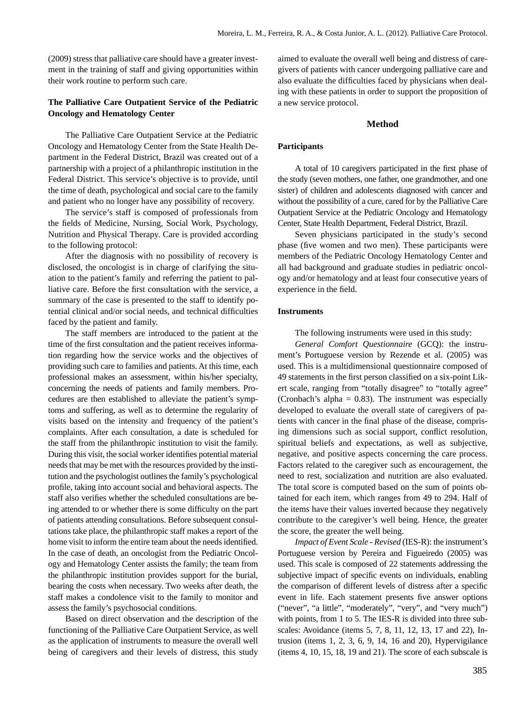(2009) stress that palliative care should have a greater investment in the training of staff and giving opportunities within their work routine to perform such care.

## **The Palliative Care Outpatient Service of the Pediatric Oncology and Hematology Center**

The Palliative Care Outpatient Service at the Pediatric Oncology and Hematology Center from the State Health Department in the Federal District, Brazil was created out of a partnership with a project of a philanthropic institution in the Federal District. This service's objective is to provide, until the time of death, psychological and social care to the family and patient who no longer have any possibility of recovery.

The service's staff is composed of professionals from the fields of Medicine, Nursing, Social Work, Psychology, Nutrition and Physical Therapy. Care is provided according to the following protocol:

After the diagnosis with no possibility of recovery is disclosed, the oncologist is in charge of clarifying the situation to the patient's family and referring the patient to palliative care. Before the first consultation with the service, a summary of the case is presented to the staff to identify potential clinical and/or social needs, and technical difficulties faced by the patient and family.

The staff members are introduced to the patient at the time of the first consultation and the patient receives information regarding how the service works and the objectives of providing such care to families and patients. At this time, each professional makes an assessment, within his/her specialty, concerning the needs of patients and family members. Procedures are then established to alleviate the patient's symptoms and suffering, as well as to determine the regularity of visits based on the intensity and frequency of the patient's complaints. After each consultation, a date is scheduled for the staff from the philanthropic institution to visit the family. During this visit, the social worker identifies potential material needs that may be met with the resources provided by the institution and the psychologist outlines the family's psychological profile, taking into account social and behavioral aspects. The staff also verifies whether the scheduled consultations are being attended to or whether there is some difficulty on the part of patients attending consultations. Before subsequent consultations take place, the philanthropic staff makes a report of the home visit to inform the entire team about the needs identified. In the case of death, an oncologist from the Pediatric Oncology and Hematology Center assists the family; the team from the philanthropic institution provides support for the burial, bearing the costs when necessary. Two weeks after death, the staff makes a condolence visit to the family to monitor and assess the family's psychosocial conditions.

Based on direct observation and the description of the functioning of the Palliative Care Outpatient Service, as well as the application of instruments to measure the overall well being of caregivers and their levels of distress, this study aimed to evaluate the overall well being and distress of caregivers of patients with cancer undergoing palliative care and also evaluate the difficulties faced by physicians when dealing with these patients in order to support the proposition of a new service protocol.

## **Method**

### **Participants**

A total of 10 caregivers participated in the first phase of the study (seven mothers, one father, one grandmother, and one sister) of children and adolescents diagnosed with cancer and without the possibility of a cure, cared for by the Palliative Care Outpatient Service at the Pediatric Oncology and Hematology Center, State Health Department, Federal District, Brazil.

Seven physicians participated in the study's second phase (five women and two men). These participants were members of the Pediatric Oncology Hematology Center and all had background and graduate studies in pediatric oncology and/or hematology and at least four consecutive years of experience in the field.

### **Instruments**

The following instruments were used in this study:

*General Comfort Questionnaire* (GCQ): the instrument's Portuguese version by Rezende et al. (2005) was used. This is a multidimensional questionnaire composed of 49 statements in the first person classified on a six-point Likert scale, ranging from "totally disagree" to "totally agree" (Cronbach's alpha  $= 0.83$ ). The instrument was especially developed to evaluate the overall state of caregivers of patients with cancer in the final phase of the disease, comprising dimensions such as social support, conflict resolution, spiritual beliefs and expectations, as well as subjective, negative, and positive aspects concerning the care process. Factors related to the caregiver such as encouragement, the need to rest, socialization and nutrition are also evaluated. The total score is computed based on the sum of points obtained for each item, which ranges from 49 to 294. Half of the items have their values inverted because they negatively contribute to the caregiver's well being. Hence, the greater the score, the greater the well being.

*Impact of Event Scale - Revised* (IES-R): the instrument's Portuguese version by Pereira and Figueiredo (2005) was used. This scale is composed of 22 statements addressing the subjective impact of specific events on individuals, enabling the comparison of different levels of distress after a specific event in life. Each statement presents five answer options ("never", "a little", "moderately", "very", and "very much") with points, from 1 to 5. The IES-R is divided into three subscales: Avoidance (items 5, 7, 8, 11, 12, 13, 17 and 22), Intrusion (items 1, 2, 3, 6, 9, 14, 16 and 20), Hypervigilance (items 4, 10, 15, 18, 19 and 21). The score of each subscale is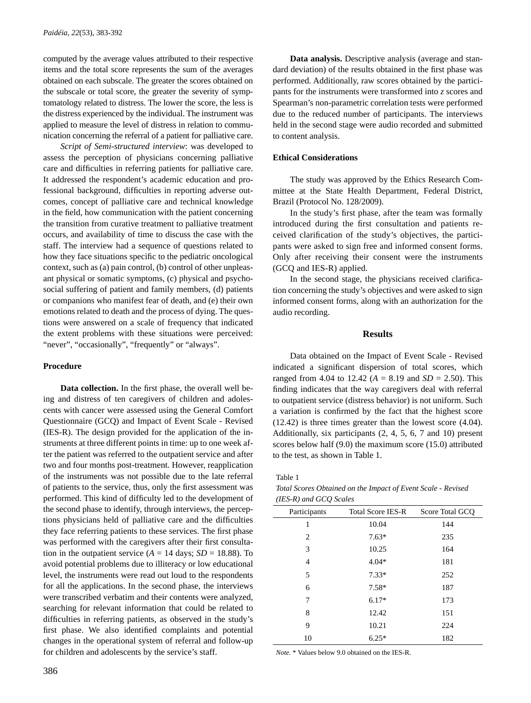computed by the average values attributed to their respective items and the total score represents the sum of the averages obtained on each subscale. The greater the scores obtained on the subscale or total score, the greater the severity of symptomatology related to distress. The lower the score, the less is the distress experienced by the individual. The instrument was applied to measure the level of distress in relation to communication concerning the referral of a patient for palliative care.

*Script of Semi-structured interview*: was developed to assess the perception of physicians concerning palliative care and difficulties in referring patients for palliative care. It addressed the respondent's academic education and professional background, difficulties in reporting adverse outcomes, concept of palliative care and technical knowledge in the field, how communication with the patient concerning the transition from curative treatment to palliative treatment occurs, and availability of time to discuss the case with the staff. The interview had a sequence of questions related to how they face situations specific to the pediatric oncological context, such as (a) pain control, (b) control of other unpleasant physical or somatic symptoms, (c) physical and psychosocial suffering of patient and family members, (d) patients or companions who manifest fear of death, and (e) their own emotions related to death and the process of dying. The questions were answered on a scale of frequency that indicated the extent problems with these situations were perceived: "never", "occasionally", "frequently" or "always".

## **Procedure**

**Data collection.** In the first phase, the overall well being and distress of ten caregivers of children and adolescents with cancer were assessed using the General Comfort Questionnaire (GCQ) and Impact of Event Scale - Revised (IES-R). The design provided for the application of the instruments at three different points in time: up to one week after the patient was referred to the outpatient service and after two and four months post-treatment. However, reapplication of the instruments was not possible due to the late referral of patients to the service, thus, only the first assessment was performed. This kind of difficulty led to the development of the second phase to identify, through interviews, the perceptions physicians held of palliative care and the difficulties they face referring patients to these services. The first phase was performed with the caregivers after their first consultation in the outpatient service ( $A = 14$  days;  $SD = 18.88$ ). To avoid potential problems due to illiteracy or low educational level, the instruments were read out loud to the respondents for all the applications. In the second phase, the interviews were transcribed verbatim and their contents were analyzed, searching for relevant information that could be related to difficulties in referring patients, as observed in the study's first phase. We also identified complaints and potential changes in the operational system of referral and follow-up for children and adolescents by the service's staff.

**Data analysis.** Descriptive analysis (average and standard deviation) of the results obtained in the first phase was performed. Additionally, raw scores obtained by the participants for the instruments were transformed into *z* scores and Spearman's non-parametric correlation tests were performed due to the reduced number of participants. The interviews held in the second stage were audio recorded and submitted to content analysis.

# **Ethical Considerations**

The study was approved by the Ethics Research Committee at the State Health Department, Federal District, Brazil (Protocol No. 128/2009).

In the study's first phase, after the team was formally introduced during the first consultation and patients received clarification of the study's objectives, the participants were asked to sign free and informed consent forms. Only after receiving their consent were the instruments (GCQ and IES-R) applied.

In the second stage, the physicians received clarification concerning the study's objectives and were asked to sign informed consent forms, along with an authorization for the audio recording.

## **Results**

Data obtained on the Impact of Event Scale - Revised indicated a significant dispersion of total scores, which ranged from 4.04 to 12.42 ( $A = 8.19$  and  $SD = 2.50$ ). This finding indicates that the way caregivers deal with referral to outpatient service (distress behavior) is not uniform. Such a variation is confirmed by the fact that the highest score (12.42) is three times greater than the lowest score (4.04). Additionally, six participants (2, 4, 5, 6, 7 and 10) present scores below half (9.0) the maximum score (15.0) attributed to the test, as shown in Table 1.

Table 1

| Total Scores Obtained on the Impact of Event Scale - Revised |  |
|--------------------------------------------------------------|--|
| $(IES-R)$ and $GCO$ Scales                                   |  |

| Participants | <b>Total Score IES-R</b> | Score Total GCQ |
|--------------|--------------------------|-----------------|
| 1            | 10.04                    | 144             |
| 2            | $7.63*$                  | 235             |
| 3            | 10.25                    | 164             |
| 4            | $4.04*$                  | 181             |
| 5            | $7.33*$                  | 252             |
| 6            | $7.58*$                  | 187             |
| 7            | $6.17*$                  | 173             |
| 8            | 12.42                    | 151             |
| 9            | 10.21                    | 224             |
| 10           | $6.25*$                  | 182             |

*Note.* \* Values below 9.0 obtained on the IES-R.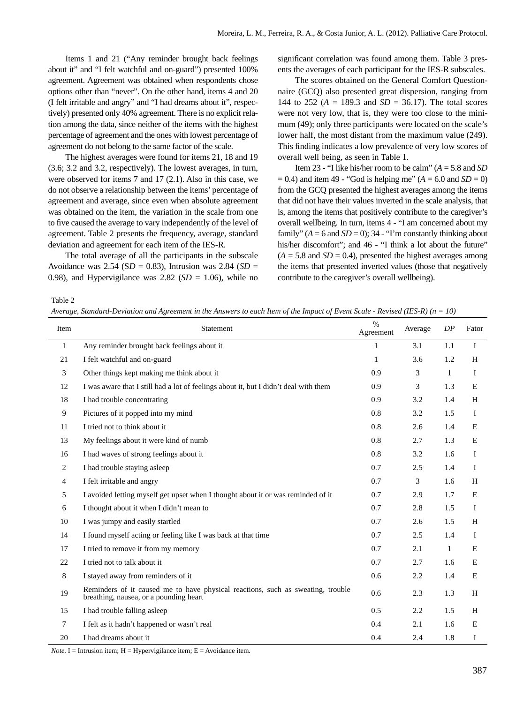Items 1 and 21 ("Any reminder brought back feelings about it" and "I felt watchful and on-guard") presented 100% agreement. Agreement was obtained when respondents chose options other than "never". On the other hand, items 4 and 20 (I felt irritable and angry" and "I had dreams about it", respectively) presented only 40% agreement. There is no explicit relation among the data, since neither of the items with the highest percentage of agreement and the ones with lowest percentage of agreement do not belong to the same factor of the scale.

The highest averages were found for items 21, 18 and 19 (3.6; 3.2 and 3.2, respectively). The lowest averages, in turn, were observed for items 7 and 17 (2.1). Also in this case, we do not observe a relationship between the items' percentage of agreement and average, since even when absolute agreement was obtained on the item, the variation in the scale from one to five caused the average to vary independently of the level of agreement. Table 2 presents the frequency, average, standard deviation and agreement for each item of the IES-R.

The total average of all the participants in the subscale Avoidance was 2.54 (S*D* = 0.83), Intrusion was 2.84 (*SD* = 0.98), and Hypervigilance was 2.82 ( $SD = 1.06$ ), while no significant correlation was found among them. Table 3 presents the averages of each participant for the IES-R subscales.

The scores obtained on the General Comfort Questionnaire (GCQ) also presented great dispersion, ranging from 144 to 252 ( $A = 189.3$  and  $SD = 36.17$ ). The total scores were not very low, that is, they were too close to the minimum (49); only three participants were located on the scale's lower half, the most distant from the maximum value (249). This finding indicates a low prevalence of very low scores of overall well being, as seen in Table 1.

Item 23 - "I like his/her room to be calm" (*A* = 5.8 and *SD*  $= 0.4$ ) and item 49 - "God is helping me" ( $A = 6.0$  and  $SD = 0$ ) from the GCQ presented the highest averages among the items that did not have their values inverted in the scale analysis, that is, among the items that positively contribute to the caregiver's overall wellbeing. In turn, items 4 - "I am concerned about my family"  $(A = 6$  and  $SD = 0)$ ; 34 - "I'm constantly thinking about his/her discomfort"; and 46 - "I think a lot about the future"  $(A = 5.8$  and  $SD = 0.4$ ), presented the highest averages among the items that presented inverted values (those that negatively contribute to the caregiver's overall wellbeing).

Table 2

*Average, Standard-Deviation and Agreement in the Answers to each Item of the Impact of Event Scale - Revised (IES-R) (n = 10)*

| Item           | Statement                                                                                                                 | $\%$<br>Agreement | Average | DP           | Fator        |
|----------------|---------------------------------------------------------------------------------------------------------------------------|-------------------|---------|--------------|--------------|
| $\mathbf{1}$   | Any reminder brought back feelings about it                                                                               | 1                 | 3.1     | 1.1          | Ι            |
| 21             | I felt watchful and on-guard                                                                                              | $\mathbf{1}$      | 3.6     | 1.2          | H            |
| 3              | Other things kept making me think about it                                                                                | 0.9               | 3       | $\mathbf{1}$ | $\mathbf I$  |
| 12             | I was aware that I still had a lot of feelings about it, but I didn't deal with them                                      | 0.9               | 3       | 1.3          | E            |
| 18             | I had trouble concentrating                                                                                               | 0.9               | 3.2     | 1.4          | H            |
| 9              | Pictures of it popped into my mind                                                                                        | 0.8               | 3.2     | 1.5          | $\mathbf{I}$ |
| 11             | I tried not to think about it                                                                                             | 0.8               | 2.6     | 1.4          | E            |
| 13             | My feelings about it were kind of numb                                                                                    | 0.8               | 2.7     | 1.3          | E            |
| 16             | I had waves of strong feelings about it                                                                                   | 0.8               | 3.2     | 1.6          | $\mathbf I$  |
| $\overline{2}$ | I had trouble staying asleep                                                                                              | 0.7               | 2.5     | 1.4          | $\bf{I}$     |
| 4              | I felt irritable and angry                                                                                                | 0.7               | 3       | 1.6          | H            |
| 5              | I avoided letting myself get upset when I thought about it or was reminded of it                                          | 0.7               | 2.9     | 1.7          | E            |
| 6              | I thought about it when I didn't mean to                                                                                  | 0.7               | 2.8     | 1.5          | L            |
| 10             | I was jumpy and easily startled                                                                                           | 0.7               | 2.6     | 1.5          | H            |
| 14             | I found myself acting or feeling like I was back at that time                                                             | 0.7               | 2.5     | 1.4          | Ι.           |
| 17             | I tried to remove it from my memory                                                                                       | 0.7               | 2.1     | $\mathbf{1}$ | E            |
| 22             | I tried not to talk about it                                                                                              | 0.7               | 2.7     | 1.6          | E            |
| 8              | I stayed away from reminders of it                                                                                        | 0.6               | 2.2     | 1.4          | E            |
| 19             | Reminders of it caused me to have physical reactions, such as sweating, trouble<br>breathing, nausea, or a pounding heart | 0.6               | 2.3     | 1.3          | H            |
| 15             | I had trouble falling asleep                                                                                              | 0.5               | 2.2     | 1.5          | H            |
| $\tau$         | I felt as it hadn't happened or wasn't real                                                                               | 0.4               | 2.1     | 1.6          | E            |
| 20             | I had dreams about it                                                                                                     | 0.4               | 2.4     | 1.8          | I            |

*Note.* I = Intrusion item; H = Hypervigilance item; E = Avoidance item*.*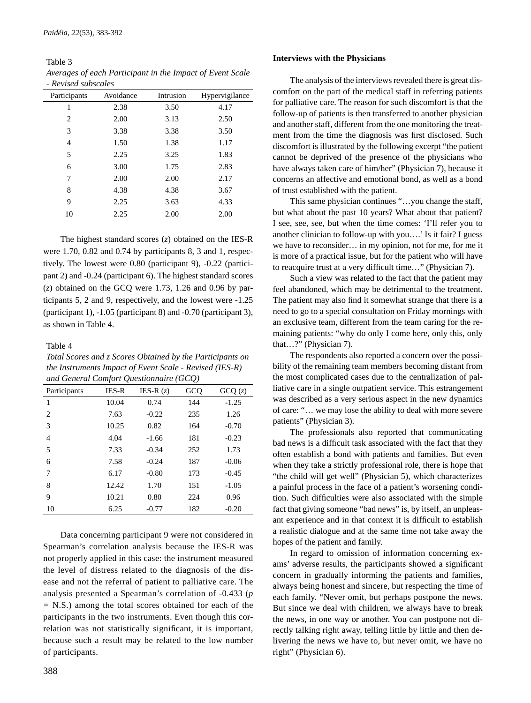Table 3 *Averages of each Participant in the Impact of Event Scale - Revised subscales*

| Avoidance | Intrusion | Hypervigilance |
|-----------|-----------|----------------|
| 2.38      | 3.50      | 4.17           |
| 2.00      | 3.13      | 2.50           |
| 3.38      | 3.38      | 3.50           |
| 1.50      | 1.38      | 1.17           |
| 2.25      | 3.25      | 1.83           |
| 3.00      | 1.75      | 2.83           |
| 2.00      | 2.00      | 2.17           |
| 4.38      | 4.38      | 3.67           |
| 2.25      | 3.63      | 4.33           |
| 2.25      | 2.00      | 2.00           |
|           |           |                |

The highest standard scores (*z*) obtained on the IES-R were 1.70, 0.82 and 0.74 by participants 8, 3 and 1, respectively. The lowest were 0.80 (participant 9), -0.22 (participant 2) and -0.24 (participant 6). The highest standard scores (*z*) obtained on the GCQ were 1.73, 1.26 and 0.96 by participants 5, 2 and 9, respectively, and the lowest were -1.25 (participant 1), -1.05 (participant 8) and -0.70 (participant 3), as shown in Table 4.

## Table 4

*Total Scores and z Scores Obtained by the Participants on the Instruments Impact of Event Scale - Revised (IES-R) and General Comfort Questionnaire (GCQ)*

| Participants   | <b>IES-R</b> | IES-R $(z)$ | GCQ | GCQ(z)  |
|----------------|--------------|-------------|-----|---------|
| 1              | 10.04        | 0.74        | 144 | $-1.25$ |
| 2              | 7.63         | $-0.22$     | 235 | 1.26    |
| 3              | 10.25        | 0.82        | 164 | $-0.70$ |
| $\overline{4}$ | 4.04         | $-1.66$     | 181 | $-0.23$ |
| 5              | 7.33         | $-0.34$     | 252 | 1.73    |
| 6              | 7.58         | $-0.24$     | 187 | $-0.06$ |
| 7              | 6.17         | $-0.80$     | 173 | $-0.45$ |
| 8              | 12.42        | 1.70        | 151 | $-1.05$ |
| 9              | 10.21        | 0.80        | 224 | 0.96    |
| 10             | 6.25         | $-0.77$     | 182 | $-0.20$ |

Data concerning participant 9 were not considered in Spearman's correlation analysis because the IES-R was not properly applied in this case: the instrument measured the level of distress related to the diagnosis of the disease and not the referral of patient to palliative care. The analysis presented a Spearman's correlation of -0.433 (*p =* N.S.) among the total scores obtained for each of the participants in the two instruments. Even though this correlation was not statistically significant, it is important, because such a result may be related to the low number of participants.

### **Interviews with the Physicians**

The analysis of the interviews revealed there is great discomfort on the part of the medical staff in referring patients for palliative care. The reason for such discomfort is that the follow-up of patients is then transferred to another physician and another staff, different from the one monitoring the treatment from the time the diagnosis was first disclosed. Such discomfort is illustrated by the following excerpt "the patient cannot be deprived of the presence of the physicians who have always taken care of him/her" (Physician 7), because it concerns an affective and emotional bond, as well as a bond of trust established with the patient.

This same physician continues "…you change the staff, but what about the past 10 years? What about that patient? I see, see, see, but when the time comes: 'I'll refer you to another clinician to follow-up with you….' Is it fair? I guess we have to reconsider… in my opinion, not for me, for me it is more of a practical issue, but for the patient who will have to reacquire trust at a very difficult time..." (Physician 7).

Such a view was related to the fact that the patient may feel abandoned, which may be detrimental to the treatment. The patient may also find it somewhat strange that there is a need to go to a special consultation on Friday mornings with an exclusive team, different from the team caring for the remaining patients: "why do only I come here, only this, only that…?" (Physician 7).

The respondents also reported a concern over the possibility of the remaining team members becoming distant from the most complicated cases due to the centralization of palliative care in a single outpatient service. This estrangement was described as a very serious aspect in the new dynamics of care: "… we may lose the ability to deal with more severe patients" (Physician 3).

The professionals also reported that communicating bad news is a difficult task associated with the fact that they often establish a bond with patients and families. But even when they take a strictly professional role, there is hope that "the child will get well" (Physician 5), which characterizes a painful process in the face of a patient's worsening condition. Such difficulties were also associated with the simple fact that giving someone "bad news" is, by itself, an unpleasant experience and in that context it is difficult to establish a realistic dialogue and at the same time not take away the hopes of the patient and family.

In regard to omission of information concerning exams' adverse results, the participants showed a significant concern in gradually informing the patients and families, always being honest and sincere, but respecting the time of each family. "Never omit, but perhaps postpone the news. But since we deal with children, we always have to break the news, in one way or another. You can postpone not directly talking right away, telling little by little and then delivering the news we have to, but never omit, we have no right" (Physician 6).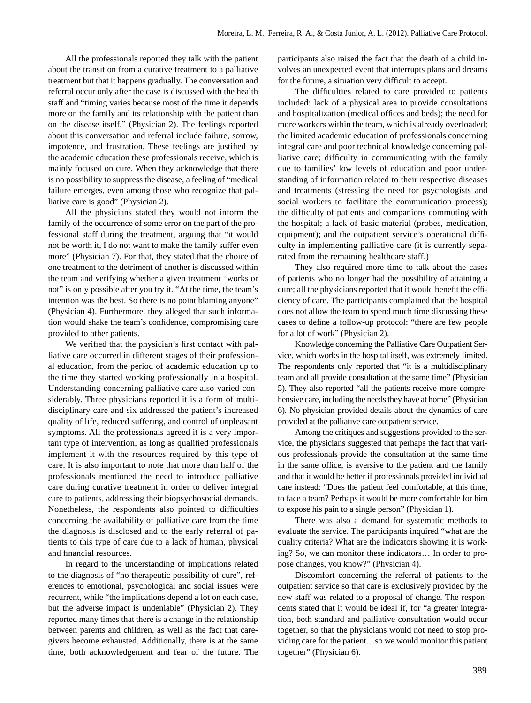All the professionals reported they talk with the patient about the transition from a curative treatment to a palliative treatment but that it happens gradually. The conversation and referral occur only after the case is discussed with the health staff and "timing varies because most of the time it depends more on the family and its relationship with the patient than on the disease itself." (Physician 2). The feelings reported about this conversation and referral include failure, sorrow, impotence, and frustration. These feelings are justified by the academic education these professionals receive, which is mainly focused on cure. When they acknowledge that there is no possibility to suppress the disease, a feeling of "medical failure emerges, even among those who recognize that palliative care is good" (Physician 2).

All the physicians stated they would not inform the family of the occurrence of some error on the part of the professional staff during the treatment, arguing that "it would not be worth it, I do not want to make the family suffer even more" (Physician 7). For that, they stated that the choice of one treatment to the detriment of another is discussed within the team and verifying whether a given treatment "works or not" is only possible after you try it. "At the time, the team's intention was the best. So there is no point blaming anyone" (Physician 4). Furthermore, they alleged that such information would shake the team's confidence, compromising care provided to other patients.

We verified that the physician's first contact with palliative care occurred in different stages of their professional education, from the period of academic education up to the time they started working professionally in a hospital. Understanding concerning palliative care also varied considerably. Three physicians reported it is a form of multidisciplinary care and six addressed the patient's increased quality of life, reduced suffering, and control of unpleasant symptoms. All the professionals agreed it is a very important type of intervention, as long as qualified professionals implement it with the resources required by this type of care. It is also important to note that more than half of the professionals mentioned the need to introduce palliative care during curative treatment in order to deliver integral care to patients, addressing their biopsychosocial demands. Nonetheless, the respondents also pointed to difficulties concerning the availability of palliative care from the time the diagnosis is disclosed and to the early referral of patients to this type of care due to a lack of human, physical and financial resources.

In regard to the understanding of implications related to the diagnosis of "no therapeutic possibility of cure", references to emotional, psychological and social issues were recurrent, while "the implications depend a lot on each case, but the adverse impact is undeniable" (Physician 2). They reported many times that there is a change in the relationship between parents and children, as well as the fact that caregivers become exhausted. Additionally, there is at the same time, both acknowledgement and fear of the future. The participants also raised the fact that the death of a child involves an unexpected event that interrupts plans and dreams for the future, a situation very difficult to accept.

The difficulties related to care provided to patients included: lack of a physical area to provide consultations and hospitalization (medical offices and beds); the need for more workers within the team, which is already overloaded; the limited academic education of professionals concerning integral care and poor technical knowledge concerning palliative care; difficulty in communicating with the family due to families' low levels of education and poor understanding of information related to their respective diseases and treatments (stressing the need for psychologists and social workers to facilitate the communication process); the difficulty of patients and companions commuting with the hospital; a lack of basic material (probes, medication, equipment); and the outpatient service's operational difficulty in implementing palliative care (it is currently separated from the remaining healthcare staff.)

They also required more time to talk about the cases of patients who no longer had the possibility of attaining a cure; all the physicians reported that it would benefit the efficiency of care. The participants complained that the hospital does not allow the team to spend much time discussing these cases to define a follow-up protocol: "there are few people for a lot of work" (Physician 2).

Knowledge concerning the Palliative Care Outpatient Service, which works in the hospital itself, was extremely limited. The respondents only reported that "it is a multidisciplinary team and all provide consultation at the same time" (Physician 5). They also reported "all the patients receive more comprehensive care, including the needs they have at home" (Physician 6). No physician provided details about the dynamics of care provided at the palliative care outpatient service.

Among the critiques and suggestions provided to the service, the physicians suggested that perhaps the fact that various professionals provide the consultation at the same time in the same office, is aversive to the patient and the family and that it would be better if professionals provided individual care instead: "Does the patient feel comfortable, at this time, to face a team? Perhaps it would be more comfortable for him to expose his pain to a single person" (Physician 1).

There was also a demand for systematic methods to evaluate the service. The participants inquired "what are the quality criteria? What are the indicators showing it is working? So, we can monitor these indicators… In order to propose changes, you know?" (Physician 4).

Discomfort concerning the referral of patients to the outpatient service so that care is exclusively provided by the new staff was related to a proposal of change. The respondents stated that it would be ideal if, for "a greater integration, both standard and palliative consultation would occur together, so that the physicians would not need to stop providing care for the patient…so we would monitor this patient together" (Physician 6).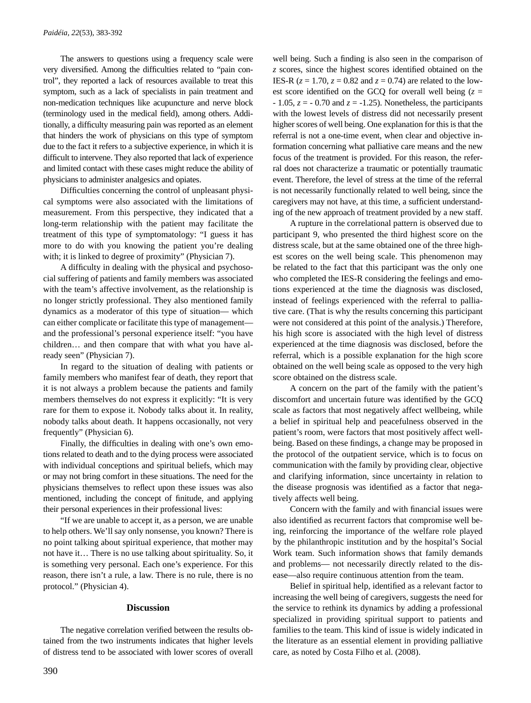The answers to questions using a frequency scale were very diversified. Among the difficulties related to "pain control", they reported a lack of resources available to treat this symptom, such as a lack of specialists in pain treatment and non-medication techniques like acupuncture and nerve block (terminology used in the medical field), among others. Additionally, a difficulty measuring pain was reported as an element that hinders the work of physicians on this type of symptom due to the fact it refers to a subjective experience, in which it is difficult to intervene. They also reported that lack of experience and limited contact with these cases might reduce the ability of physicians to administer analgesics and opiates.

Difficulties concerning the control of unpleasant physical symptoms were also associated with the limitations of measurement. From this perspective, they indicated that a long-term relationship with the patient may facilitate the treatment of this type of symptomatology: "I guess it has more to do with you knowing the patient you're dealing with; it is linked to degree of proximity" (Physician 7).

A difficulty in dealing with the physical and psychosocial suffering of patients and family members was associated with the team's affective involvement, as the relationship is no longer strictly professional. They also mentioned family dynamics as a moderator of this type of situation— which can either complicate or facilitate this type of management and the professional's personal experience itself: "you have children… and then compare that with what you have already seen" (Physician 7).

In regard to the situation of dealing with patients or family members who manifest fear of death, they report that it is not always a problem because the patients and family members themselves do not express it explicitly: "It is very rare for them to expose it. Nobody talks about it. In reality, nobody talks about death. It happens occasionally, not very frequently" (Physician 6).

Finally, the difficulties in dealing with one's own emotions related to death and to the dying process were associated with individual conceptions and spiritual beliefs, which may or may not bring comfort in these situations. The need for the physicians themselves to reflect upon these issues was also mentioned, including the concept of finitude, and applying their personal experiences in their professional lives:

"If we are unable to accept it, as a person, we are unable to help others. We'll say only nonsense, you known? There is no point talking about spiritual experience, that mother may not have it… There is no use talking about spirituality. So, it is something very personal. Each one's experience. For this reason, there isn't a rule, a law. There is no rule, there is no protocol." (Physician 4).

#### **Discussion**

The negative correlation verified between the results obtained from the two instruments indicates that higher levels of distress tend to be associated with lower scores of overall well being. Such a finding is also seen in the comparison of *z* scores, since the highest scores identified obtained on the IES-R  $(z = 1.70, z = 0.82$  and  $z = 0.74$ ) are related to the lowest score identified on the GCQ for overall well being  $(z =$  $-1.05$ ,  $z = -0.70$  and  $z = -1.25$ ). Nonetheless, the participants with the lowest levels of distress did not necessarily present higher scores of well being. One explanation for this is that the referral is not a one-time event, when clear and objective information concerning what palliative care means and the new focus of the treatment is provided. For this reason, the referral does not characterize a traumatic or potentially traumatic event. Therefore, the level of stress at the time of the referral is not necessarily functionally related to well being, since the caregivers may not have, at this time, a sufficient understanding of the new approach of treatment provided by a new staff.

A rupture in the correlational pattern is observed due to participant 9, who presented the third highest score on the distress scale, but at the same obtained one of the three highest scores on the well being scale. This phenomenon may be related to the fact that this participant was the only one who completed the IES-R considering the feelings and emotions experienced at the time the diagnosis was disclosed, instead of feelings experienced with the referral to palliative care. (That is why the results concerning this participant were not considered at this point of the analysis.) Therefore, his high score is associated with the high level of distress experienced at the time diagnosis was disclosed, before the referral, which is a possible explanation for the high score obtained on the well being scale as opposed to the very high score obtained on the distress scale.

A concern on the part of the family with the patient's discomfort and uncertain future was identified by the GCQ scale as factors that most negatively affect wellbeing, while a belief in spiritual help and peacefulness observed in the patient's room, were factors that most positively affect wellbeing. Based on these findings, a change may be proposed in the protocol of the outpatient service, which is to focus on communication with the family by providing clear, objective and clarifying information, since uncertainty in relation to the disease prognosis was identified as a factor that negatively affects well being.

Concern with the family and with financial issues were also identified as recurrent factors that compromise well being, reinforcing the importance of the welfare role played by the philanthropic institution and by the hospital's Social Work team. Such information shows that family demands and problems— not necessarily directly related to the disease—also require continuous attention from the team.

Belief in spiritual help, identified as a relevant factor to increasing the well being of caregivers, suggests the need for the service to rethink its dynamics by adding a professional specialized in providing spiritual support to patients and families to the team. This kind of issue is widely indicated in the literature as an essential element in providing palliative care, as noted by Costa Filho et al. (2008).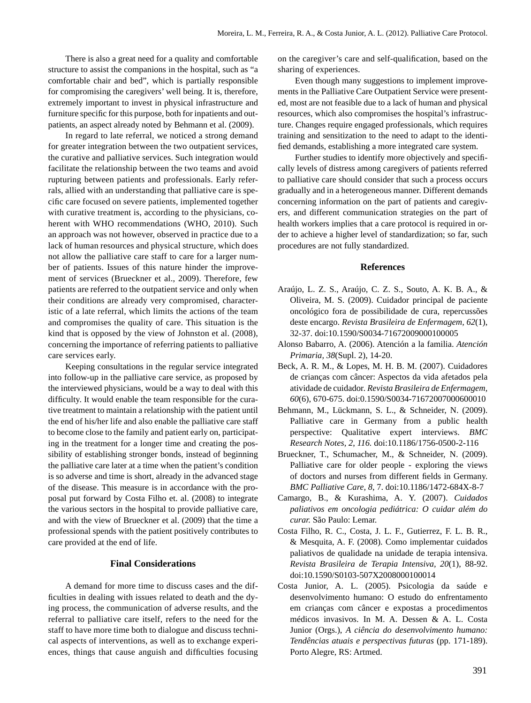There is also a great need for a quality and comfortable structure to assist the companions in the hospital, such as "a comfortable chair and bed", which is partially responsible for compromising the caregivers' well being. It is, therefore, extremely important to invest in physical infrastructure and furniture specific for this purpose, both for inpatients and outpatients, an aspect already noted by Behmann et al. (2009).

In regard to late referral, we noticed a strong demand for greater integration between the two outpatient services, the curative and palliative services. Such integration would facilitate the relationship between the two teams and avoid rupturing between patients and professionals. Early referrals, allied with an understanding that palliative care is specific care focused on severe patients, implemented together with curative treatment is, according to the physicians, coherent with WHO recommendations (WHO, 2010). Such an approach was not however, observed in practice due to a lack of human resources and physical structure, which does not allow the palliative care staff to care for a larger number of patients. Issues of this nature hinder the improvement of services (Brueckner et al., 2009). Therefore, few patients are referred to the outpatient service and only when their conditions are already very compromised, characteristic of a late referral, which limits the actions of the team and compromises the quality of care. This situation is the kind that is opposed by the view of Johnston et al. (2008), concerning the importance of referring patients to palliative care services early.

Keeping consultations in the regular service integrated into follow-up in the palliative care service, as proposed by the interviewed physicians, would be a way to deal with this difficulty. It would enable the team responsible for the curative treatment to maintain a relationship with the patient until the end of his/her life and also enable the palliative care staff to become close to the family and patient early on, participating in the treatment for a longer time and creating the possibility of establishing stronger bonds, instead of beginning the palliative care later at a time when the patient's condition is so adverse and time is short, already in the advanced stage of the disease. This measure is in accordance with the proposal put forward by Costa Filho et. al. (2008) to integrate the various sectors in the hospital to provide palliative care, and with the view of Brueckner et al. (2009) that the time a professional spends with the patient positively contributes to care provided at the end of life.

### **Final Considerations**

A demand for more time to discuss cases and the difficulties in dealing with issues related to death and the dying process, the communication of adverse results, and the referral to palliative care itself, refers to the need for the staff to have more time both to dialogue and discuss technical aspects of interventions, as well as to exchange experiences, things that cause anguish and difficulties focusing on the caregiver's care and self-qualification, based on the sharing of experiences.

Even though many suggestions to implement improvements in the Palliative Care Outpatient Service were presented, most are not feasible due to a lack of human and physical resources, which also compromises the hospital's infrastructure. Changes require engaged professionals, which requires training and sensitization to the need to adapt to the identified demands, establishing a more integrated care system.

Further studies to identify more objectively and specifically levels of distress among caregivers of patients referred to palliative care should consider that such a process occurs gradually and in a heterogeneous manner. Different demands concerning information on the part of patients and caregivers, and different communication strategies on the part of health workers implies that a care protocol is required in order to achieve a higher level of standardization; so far, such procedures are not fully standardized.

## **References**

- Araújo, L. Z. S., Araújo, C. Z. S., Souto, A. K. B. A., & Oliveira, M. S. (2009). Cuidador principal de paciente oncológico fora de possibilidade de cura, repercussões deste encargo. *Revista Brasileira de Enfermagem, 62*(1), 32-37. doi:10.1590/S0034-71672009000100005
- Alonso Babarro, A. (2006). Atención a la familia. *Atención Primaria, 38*(Supl. 2), 14-20.
- Beck, A. R. M., & Lopes, M. H. B. M. (2007). Cuidadores de crianças com câncer: Aspectos da vida afetados pela atividade de cuidador*. Revista Brasileira de Enfermagem, 60*(6), 670-675. doi:0.1590/S0034-71672007000600010
- Behmann, M., Lückmann, S. L., & Schneider, N. (2009). Palliative care in Germany from a public health perspective: Qualitative expert interviews. *BMC Research Notes, 2*, *116.* doi:10.1186/1756-0500-2-116
- Brueckner, T., Schumacher, M., & Schneider, N. (2009). Palliative care for older people - exploring the views of doctors and nurses from different fields in Germany. *BMC Palliative Care, 8*, 7. doi:10.1186/1472-684X-8-7
- Camargo, B., & Kurashima, A. Y. (2007). *Cuidados paliativos em oncologia pediátrica: O cuidar além do curar.* São Paulo: Lemar.
- Costa Filho, R. C., Costa, J. L. F., Gutierrez, F. L. B. R., & Mesquita, A. F. (2008). Como implementar cuidados paliativos de qualidade na unidade de terapia intensiva. *Revista Brasileira de Terapia Intensiva, 20*(1), 88-92. doi:10.1590/S0103-507X2008000100014
- Costa Junior, A. L. (2005). Psicologia da saúde e desenvolvimento humano: O estudo do enfrentamento em crianças com câncer e expostas a procedimentos médicos invasivos. In M. A. Dessen & A. L. Costa Junior (Orgs.), *A ciência do desenvolvimento humano: Tendências atuais e perspectivas futuras* (pp. 171-189). Porto Alegre, RS: Artmed.